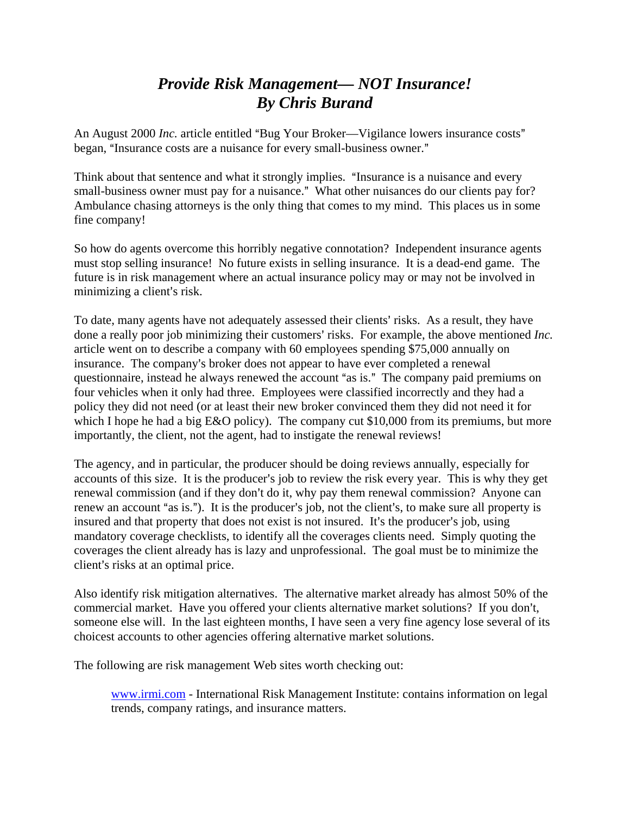## *Provide Risk Management— NOT Insurance! By Chris Burand*

An August 2000 *Inc.* article entitled "Bug Your Broker—Vigilance lowers insurance costs" began, "Insurance costs are a nuisance for every small-business owner."

Think about that sentence and what it strongly implies. "Insurance is a nuisance and every small-business owner must pay for a nuisance." What other nuisances do our clients pay for? Ambulance chasing attorneys is the only thing that comes to my mind. This places us in some fine company!

So how do agents overcome this horribly negative connotation? Independent insurance agents must stop selling insurance! No future exists in selling insurance. It is a dead-end game. The future is in risk management where an actual insurance policy may or may not be involved in minimizing a client's risk.

To date, many agents have not adequately assessed their clients' risks. As a result, they have done a really poor job minimizing their customers' risks. For example, the above mentioned *Inc*. article went on to describe a company with 60 employees spending \$75,000 annually on insurance. The company's broker does not appear to have ever completed a renewal questionnaire, instead he always renewed the account "as is." The company paid premiums on four vehicles when it only had three. Employees were classified incorrectly and they had a policy they did not need (or at least their new broker convinced them they did not need it for which I hope he had a big E&O policy). The company cut \$10,000 from its premiums, but more importantly, the client, not the agent, had to instigate the renewal reviews!

The agency, and in particular, the producer should be doing reviews annually, especially for accounts of this size. It is the producer's job to review the risk every year. This is why they get renewal commission (and if they don't do it, why pay them renewal commission? Anyone can renew an account "as is."). It is the producer's job, not the client's, to make sure all property is insured and that property that does not exist is not insured. It's the producer's job, using mandatory coverage checklists, to identify all the coverages clients need. Simply quoting the coverages the client already has is lazy and unprofessional. The goal must be to minimize the client's risks at an optimal price.

Also identify risk mitigation alternatives. The alternative market already has almost 50% of the commercial market. Have you offered your clients alternative market solutions? If you don't, someone else will. In the last eighteen months, I have seen a very fine agency lose several of its choicest accounts to other agencies offering alternative market solutions.

The following are risk management Web sites worth checking out:

www.irmi.com - International Risk Management Institute: contains information on legal trends, company ratings, and insurance matters.